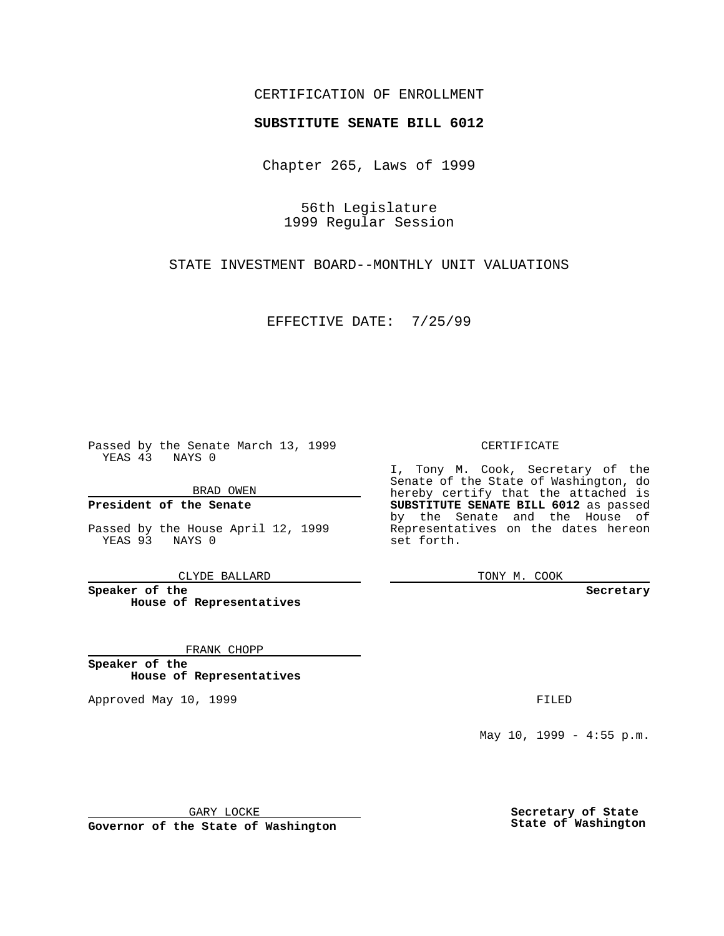### CERTIFICATION OF ENROLLMENT

# **SUBSTITUTE SENATE BILL 6012**

Chapter 265, Laws of 1999

56th Legislature 1999 Regular Session

STATE INVESTMENT BOARD--MONTHLY UNIT VALUATIONS

EFFECTIVE DATE: 7/25/99

Passed by the Senate March 13, 1999 YEAS 43 NAYS 0

BRAD OWEN

**President of the Senate**

Passed by the House April 12, 1999 YEAS 93 NAYS 0

CLYDE BALLARD

**Speaker of the House of Representatives**

FRANK CHOPP

**Speaker of the House of Representatives**

Approved May 10, 1999 **FILED** 

### CERTIFICATE

I, Tony M. Cook, Secretary of the Senate of the State of Washington, do hereby certify that the attached is **SUBSTITUTE SENATE BILL 6012** as passed by the Senate and the House of Representatives on the dates hereon set forth.

TONY M. COOK

#### **Secretary**

May 10, 1999 - 4:55 p.m.

GARY LOCKE

**Governor of the State of Washington**

**Secretary of State State of Washington**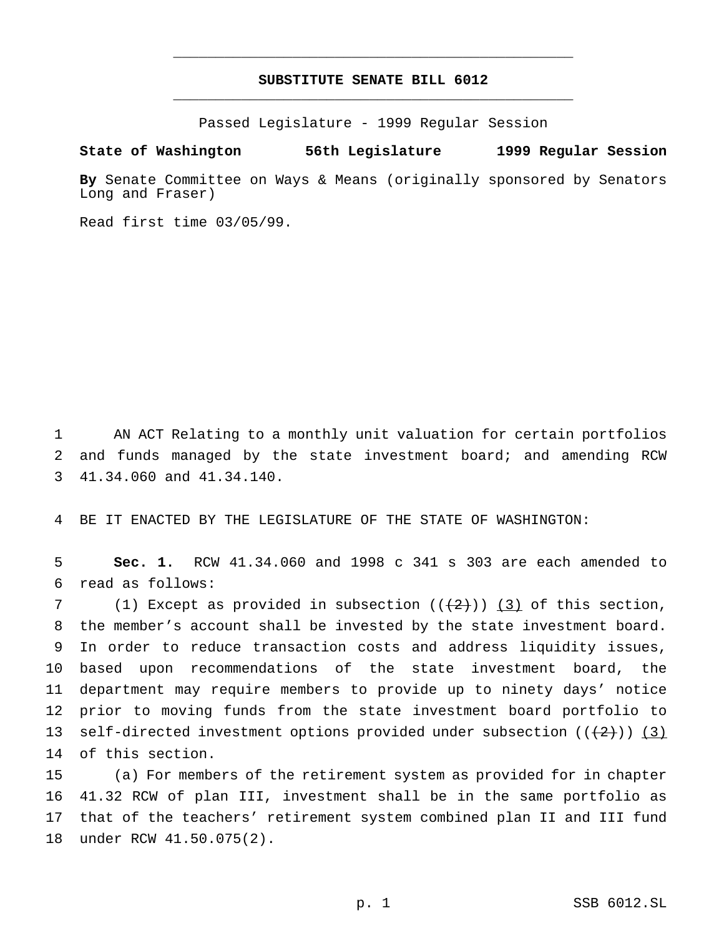## **SUBSTITUTE SENATE BILL 6012** \_\_\_\_\_\_\_\_\_\_\_\_\_\_\_\_\_\_\_\_\_\_\_\_\_\_\_\_\_\_\_\_\_\_\_\_\_\_\_\_\_\_\_\_\_\_\_

\_\_\_\_\_\_\_\_\_\_\_\_\_\_\_\_\_\_\_\_\_\_\_\_\_\_\_\_\_\_\_\_\_\_\_\_\_\_\_\_\_\_\_\_\_\_\_

Passed Legislature - 1999 Regular Session

#### **State of Washington 56th Legislature 1999 Regular Session**

**By** Senate Committee on Ways & Means (originally sponsored by Senators Long and Fraser)

Read first time 03/05/99.

1 AN ACT Relating to a monthly unit valuation for certain portfolios 2 and funds managed by the state investment board; and amending RCW 3 41.34.060 and 41.34.140.

4 BE IT ENACTED BY THE LEGISLATURE OF THE STATE OF WASHINGTON:

5 **Sec. 1.** RCW 41.34.060 and 1998 c 341 s 303 are each amended to 6 read as follows:

7 (1) Except as provided in subsection  $((+2)^{n})$  (3) of this section, the member's account shall be invested by the state investment board. In order to reduce transaction costs and address liquidity issues, based upon recommendations of the state investment board, the department may require members to provide up to ninety days' notice prior to moving funds from the state investment board portfolio to 13 self-directed investment options provided under subsection  $((+2)^i)$  (3) of this section.

 (a) For members of the retirement system as provided for in chapter 41.32 RCW of plan III, investment shall be in the same portfolio as that of the teachers' retirement system combined plan II and III fund under RCW 41.50.075(2).